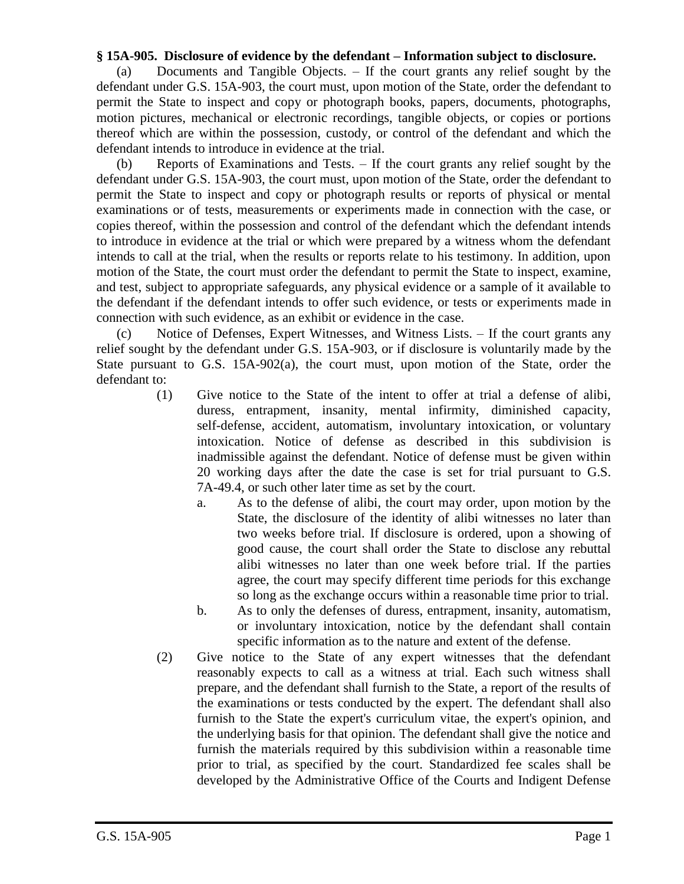## **§ 15A-905. Disclosure of evidence by the defendant – Information subject to disclosure.**

(a) Documents and Tangible Objects. – If the court grants any relief sought by the defendant under G.S. 15A-903, the court must, upon motion of the State, order the defendant to permit the State to inspect and copy or photograph books, papers, documents, photographs, motion pictures, mechanical or electronic recordings, tangible objects, or copies or portions thereof which are within the possession, custody, or control of the defendant and which the defendant intends to introduce in evidence at the trial.

(b) Reports of Examinations and Tests. – If the court grants any relief sought by the defendant under G.S. 15A-903, the court must, upon motion of the State, order the defendant to permit the State to inspect and copy or photograph results or reports of physical or mental examinations or of tests, measurements or experiments made in connection with the case, or copies thereof, within the possession and control of the defendant which the defendant intends to introduce in evidence at the trial or which were prepared by a witness whom the defendant intends to call at the trial, when the results or reports relate to his testimony. In addition, upon motion of the State, the court must order the defendant to permit the State to inspect, examine, and test, subject to appropriate safeguards, any physical evidence or a sample of it available to the defendant if the defendant intends to offer such evidence, or tests or experiments made in connection with such evidence, as an exhibit or evidence in the case.

(c) Notice of Defenses, Expert Witnesses, and Witness Lists. – If the court grants any relief sought by the defendant under G.S. 15A-903, or if disclosure is voluntarily made by the State pursuant to G.S. 15A-902(a), the court must, upon motion of the State, order the defendant to:

- (1) Give notice to the State of the intent to offer at trial a defense of alibi, duress, entrapment, insanity, mental infirmity, diminished capacity, self-defense, accident, automatism, involuntary intoxication, or voluntary intoxication. Notice of defense as described in this subdivision is inadmissible against the defendant. Notice of defense must be given within 20 working days after the date the case is set for trial pursuant to G.S. 7A-49.4, or such other later time as set by the court.
	- a. As to the defense of alibi, the court may order, upon motion by the State, the disclosure of the identity of alibi witnesses no later than two weeks before trial. If disclosure is ordered, upon a showing of good cause, the court shall order the State to disclose any rebuttal alibi witnesses no later than one week before trial. If the parties agree, the court may specify different time periods for this exchange so long as the exchange occurs within a reasonable time prior to trial.
	- b. As to only the defenses of duress, entrapment, insanity, automatism, or involuntary intoxication, notice by the defendant shall contain specific information as to the nature and extent of the defense.
- (2) Give notice to the State of any expert witnesses that the defendant reasonably expects to call as a witness at trial. Each such witness shall prepare, and the defendant shall furnish to the State, a report of the results of the examinations or tests conducted by the expert. The defendant shall also furnish to the State the expert's curriculum vitae, the expert's opinion, and the underlying basis for that opinion. The defendant shall give the notice and furnish the materials required by this subdivision within a reasonable time prior to trial, as specified by the court. Standardized fee scales shall be developed by the Administrative Office of the Courts and Indigent Defense